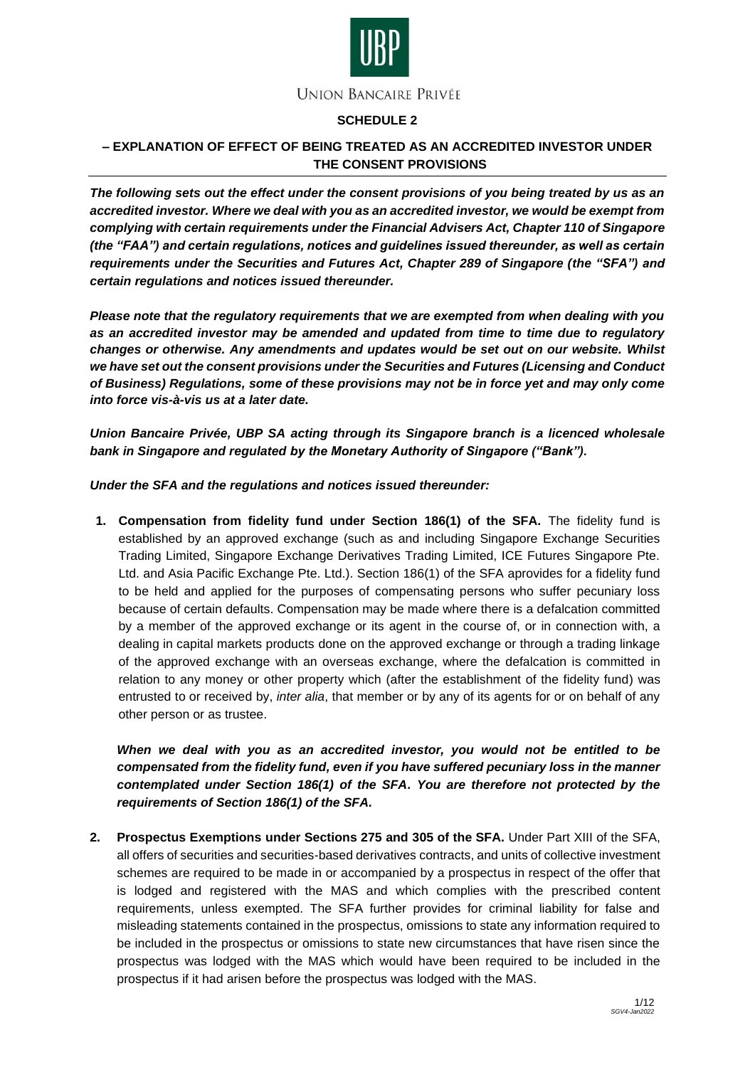

# **SCHEDULE 2**

# **– EXPLANATION OF EFFECT OF BEING TREATED AS AN ACCREDITED INVESTOR UNDER THE CONSENT PROVISIONS**

*The following sets out the effect under the consent provisions of you being treated by us as an accredited investor. Where we deal with you as an accredited investor, we would be exempt from complying with certain requirements under the Financial Advisers Act, Chapter 110 of Singapore (the "FAA") and certain regulations, notices and guidelines issued thereunder, as well as certain requirements under the Securities and Futures Act, Chapter 289 of Singapore (the "SFA") and certain regulations and notices issued thereunder.*

*Please note that the regulatory requirements that we are exempted from when dealing with you as an accredited investor may be amended and updated from time to time due to regulatory changes or otherwise. Any amendments and updates would be set out on our website. Whilst we have set out the consent provisions under the Securities and Futures (Licensing and Conduct of Business) Regulations, some of these provisions may not be in force yet and may only come into force vis-à-vis us at a later date.*

*Union Bancaire Privée, UBP SA acting through its Singapore branch is a licenced wholesale bank in Singapore and regulated by the Monetary Authority of Singapore ("Bank").*

## *Under the SFA and the regulations and notices issued thereunder:*

**1. Compensation from fidelity fund under Section 186(1) of the SFA.** The fidelity fund is established by an approved exchange (such as and including Singapore Exchange Securities Trading Limited, Singapore Exchange Derivatives Trading Limited, ICE Futures Singapore Pte. Ltd. and Asia Pacific Exchange Pte. Ltd.). Section 186(1) of the SFA aprovides for a fidelity fund to be held and applied for the purposes of compensating persons who suffer pecuniary loss because of certain defaults. Compensation may be made where there is a defalcation committed by a member of the approved exchange or its agent in the course of, or in connection with, a dealing in capital markets products done on the approved exchange or through a trading linkage of the approved exchange with an overseas exchange, where the defalcation is committed in relation to any money or other property which (after the establishment of the fidelity fund) was entrusted to or received by, *inter alia*, that member or by any of its agents for or on behalf of any other person or as trustee.

*When we deal with you as an accredited investor, you would not be entitled to be compensated from the fidelity fund, even if you have suffered pecuniary loss in the manner contemplated under Section 186(1) of the SFA. You are therefore not protected by the requirements of Section 186(1) of the SFA.*

**2. Prospectus Exemptions under Sections 275 and 305 of the SFA.** Under Part XIII of the SFA, all offers of securities and securities-based derivatives contracts, and units of collective investment schemes are required to be made in or accompanied by a prospectus in respect of the offer that is lodged and registered with the MAS and which complies with the prescribed content requirements, unless exempted. The SFA further provides for criminal liability for false and misleading statements contained in the prospectus, omissions to state any information required to be included in the prospectus or omissions to state new circumstances that have risen since the prospectus was lodged with the MAS which would have been required to be included in the prospectus if it had arisen before the prospectus was lodged with the MAS.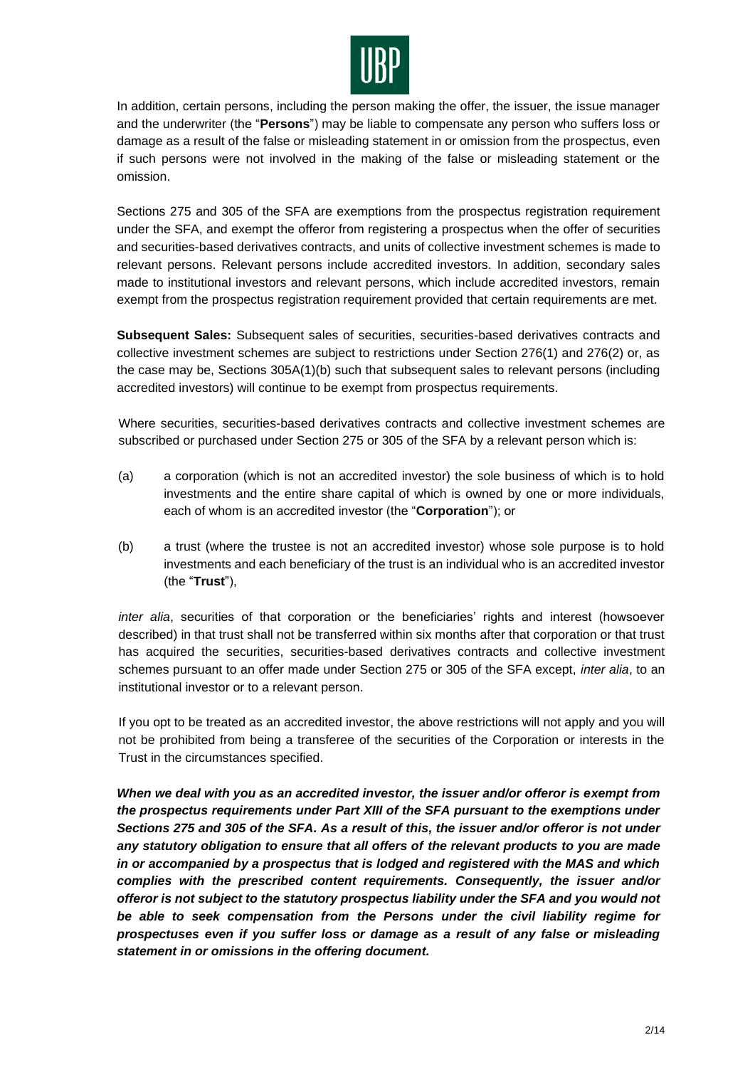

In addition, certain persons, including the person making the offer, the issuer, the issue manager and the underwriter (the "**Persons**") may be liable to compensate any person who suffers loss or damage as a result of the false or misleading statement in or omission from the prospectus, even if such persons were not involved in the making of the false or misleading statement or the omission.

Sections 275 and 305 of the SFA are exemptions from the prospectus registration requirement under the SFA, and exempt the offeror from registering a prospectus when the offer of securities and securities-based derivatives contracts, and units of collective investment schemes is made to relevant persons. Relevant persons include accredited investors. In addition, secondary sales made to institutional investors and relevant persons, which include accredited investors, remain exempt from the prospectus registration requirement provided that certain requirements are met.

**Subsequent Sales:** Subsequent sales of securities, securities-based derivatives contracts and collective investment schemes are subject to restrictions under Section 276(1) and 276(2) or, as the case may be, Sections 305A(1)(b) such that subsequent sales to relevant persons (including accredited investors) will continue to be exempt from prospectus requirements.

Where securities, securities-based derivatives contracts and collective investment schemes are subscribed or purchased under Section 275 or 305 of the SFA by a relevant person which is:

- (a) a corporation (which is not an accredited investor) the sole business of which is to hold investments and the entire share capital of which is owned by one or more individuals, each of whom is an accredited investor (the "**Corporation**"); or
- (b) a trust (where the trustee is not an accredited investor) whose sole purpose is to hold investments and each beneficiary of the trust is an individual who is an accredited investor (the "**Trust**"),

*inter alia*, securities of that corporation or the beneficiaries' rights and interest (howsoever described) in that trust shall not be transferred within six months after that corporation or that trust has acquired the securities, securities-based derivatives contracts and collective investment schemes pursuant to an offer made under Section 275 or 305 of the SFA except, *inter alia*, to an institutional investor or to a relevant person.

If you opt to be treated as an accredited investor, the above restrictions will not apply and you will not be prohibited from being a transferee of the securities of the Corporation or interests in the Trust in the circumstances specified.

*When we deal with you as an accredited investor, the issuer and/or offeror is exempt from the prospectus requirements under Part XIII of the SFA pursuant to the exemptions under Sections 275 and 305 of the SFA. As a result of this, the issuer and/or offeror is not under any statutory obligation to ensure that all offers of the relevant products to you are made in or accompanied by a prospectus that is lodged and registered with the MAS and which complies with the prescribed content requirements. Consequently, the issuer and/or offeror is not subject to the statutory prospectus liability under the SFA and you would not be able to seek compensation from the Persons under the civil liability regime for prospectuses even if you suffer loss or damage as a result of any false or misleading statement in or omissions in the offering document.*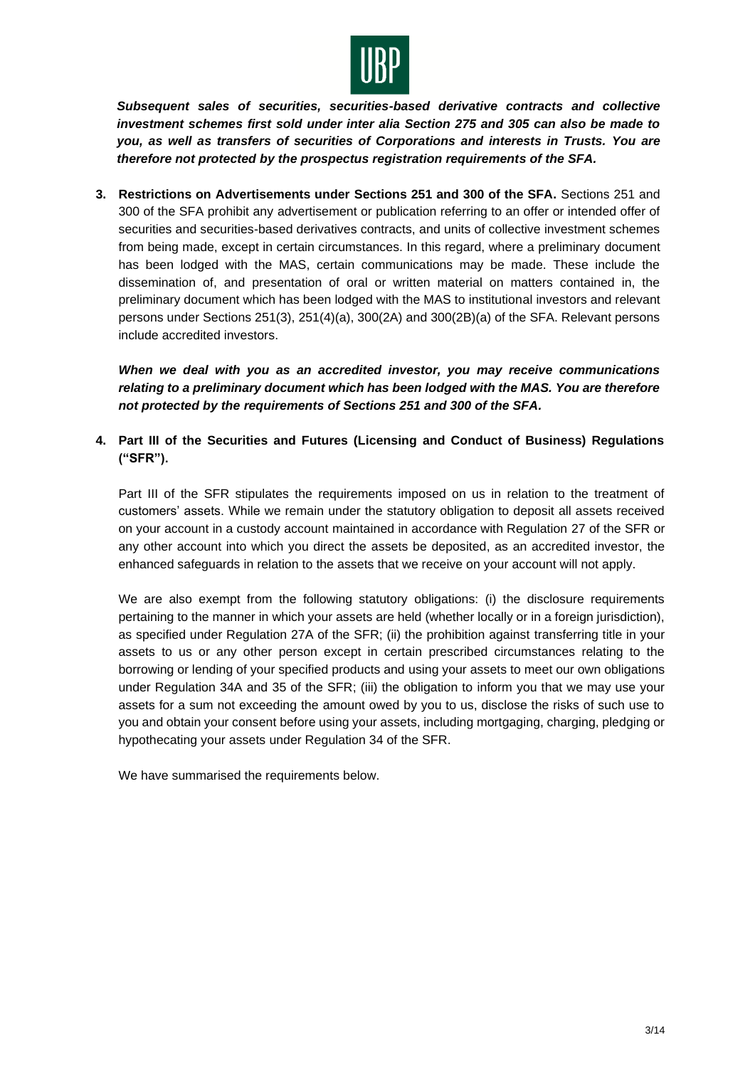

*Subsequent sales of securities, securities-based derivative contracts and collective investment schemes first sold under inter alia Section 275 and 305 can also be made to you, as well as transfers of securities of Corporations and interests in Trusts. You are therefore not protected by the prospectus registration requirements of the SFA.*

**3. Restrictions on Advertisements under Sections 251 and 300 of the SFA.** Sections 251 and 300 of the SFA prohibit any advertisement or publication referring to an offer or intended offer of securities and securities-based derivatives contracts, and units of collective investment schemes from being made, except in certain circumstances. In this regard, where a preliminary document has been lodged with the MAS, certain communications may be made. These include the dissemination of, and presentation of oral or written material on matters contained in, the preliminary document which has been lodged with the MAS to institutional investors and relevant persons under Sections 251(3), 251(4)(a), 300(2A) and 300(2B)(a) of the SFA. Relevant persons include accredited investors.

*When we deal with you as an accredited investor, you may receive communications relating to a preliminary document which has been lodged with the MAS. You are therefore not protected by the requirements of Sections 251 and 300 of the SFA.*

**4. Part III of the Securities and Futures (Licensing and Conduct of Business) Regulations ("SFR").**

Part III of the SFR stipulates the requirements imposed on us in relation to the treatment of customers' assets. While we remain under the statutory obligation to deposit all assets received on your account in a custody account maintained in accordance with Regulation 27 of the SFR or any other account into which you direct the assets be deposited, as an accredited investor, the enhanced safeguards in relation to the assets that we receive on your account will not apply.

We are also exempt from the following statutory obligations: (i) the disclosure requirements pertaining to the manner in which your assets are held (whether locally or in a foreign jurisdiction), as specified under Regulation 27A of the SFR; (ii) the prohibition against transferring title in your assets to us or any other person except in certain prescribed circumstances relating to the borrowing or lending of your specified products and using your assets to meet our own obligations under Regulation 34A and 35 of the SFR; (iii) the obligation to inform you that we may use your assets for a sum not exceeding the amount owed by you to us, disclose the risks of such use to you and obtain your consent before using your assets, including mortgaging, charging, pledging or hypothecating your assets under Regulation 34 of the SFR.

We have summarised the requirements below.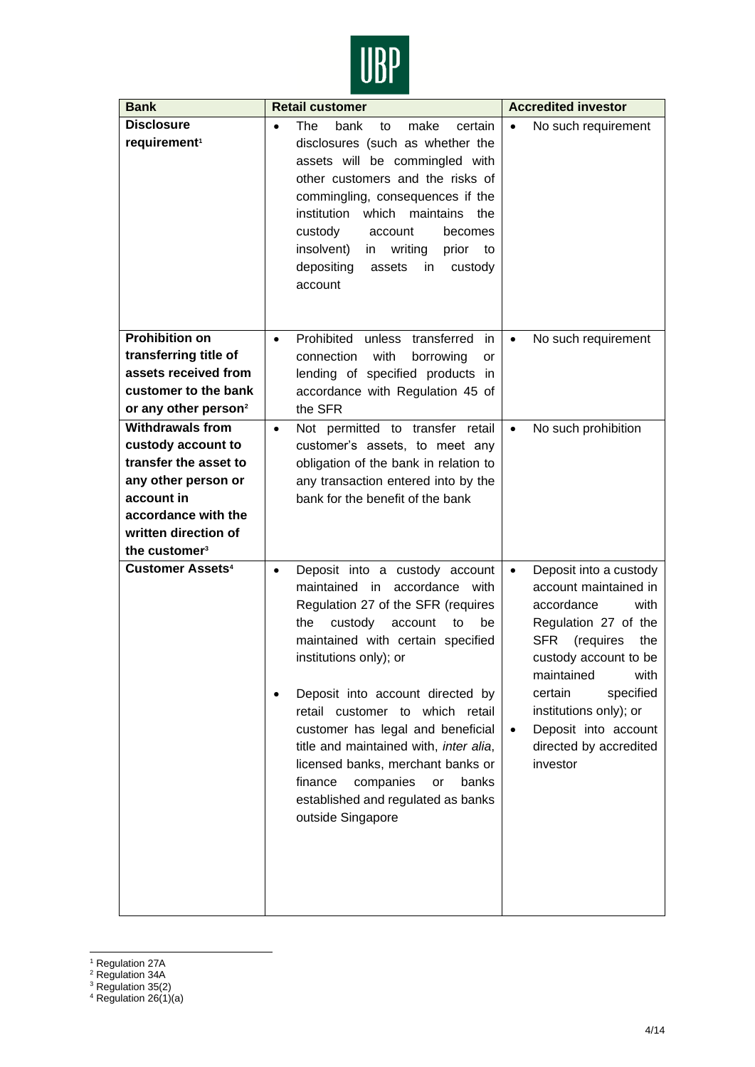

| <b>Bank</b>                                                                                                                                                                             | <b>Retail customer</b>                                                                                                                                                                                                                                                                                                                                                                                                                                                                                                  | <b>Accredited investor</b>                                                                                                                                                                                                                                                                                               |
|-----------------------------------------------------------------------------------------------------------------------------------------------------------------------------------------|-------------------------------------------------------------------------------------------------------------------------------------------------------------------------------------------------------------------------------------------------------------------------------------------------------------------------------------------------------------------------------------------------------------------------------------------------------------------------------------------------------------------------|--------------------------------------------------------------------------------------------------------------------------------------------------------------------------------------------------------------------------------------------------------------------------------------------------------------------------|
| <b>Disclosure</b><br>requirement <sup>1</sup>                                                                                                                                           | <b>The</b><br>bank<br>make<br>certain<br>$\bullet$<br>to<br>disclosures (such as whether the<br>assets will be commingled with<br>other customers and the risks of<br>commingling, consequences if the<br>institution which maintains the<br>custody<br>account<br>becomes<br>insolvent)<br>writing<br>prior<br>to<br>in<br>depositing<br>in<br>custody<br>assets<br>account                                                                                                                                            | No such requirement                                                                                                                                                                                                                                                                                                      |
| <b>Prohibition on</b><br>transferring title of<br>assets received from<br>customer to the bank<br>or any other person <sup>2</sup>                                                      | Prohibited unless transferred<br>in<br>$\bullet$<br>with<br>connection<br>borrowing<br>or<br>lending of specified products in<br>accordance with Regulation 45 of<br>the SFR                                                                                                                                                                                                                                                                                                                                            | No such requirement<br>$\bullet$                                                                                                                                                                                                                                                                                         |
| <b>Withdrawals from</b><br>custody account to<br>transfer the asset to<br>any other person or<br>account in<br>accordance with the<br>written direction of<br>the customer <sup>3</sup> | Not permitted to transfer retail<br>$\bullet$<br>customer's assets, to meet any<br>obligation of the bank in relation to<br>any transaction entered into by the<br>bank for the benefit of the bank                                                                                                                                                                                                                                                                                                                     | No such prohibition<br>$\bullet$                                                                                                                                                                                                                                                                                         |
| <b>Customer Assets<sup>4</sup></b>                                                                                                                                                      | Deposit into a custody account<br>$\bullet$<br>maintained in accordance with<br>Regulation 27 of the SFR (requires<br>the<br>custody<br>account<br>to<br>be<br>maintained with certain specified<br>institutions only); or<br>Deposit into account directed by<br>retail customer to which retail<br>customer has legal and beneficial<br>title and maintained with, inter alia,<br>licensed banks, merchant banks or<br>finance<br>companies<br>banks<br>or<br>established and regulated as banks<br>outside Singapore | Deposit into a custody<br>$\bullet$<br>account maintained in<br>accordance<br>with<br>Regulation 27 of the<br>(requires<br><b>SFR</b><br>the<br>custody account to be<br>maintained<br>with<br>specified<br>certain<br>institutions only); or<br>Deposit into account<br>$\bullet$<br>directed by accredited<br>investor |

<sup>&</sup>lt;sup>1</sup> Regulation 27A

<sup>2</sup> Regulation 34A

 $3$  Regulation 35(2)

<sup>&</sup>lt;sup>4</sup> Regulation 26(1)(a)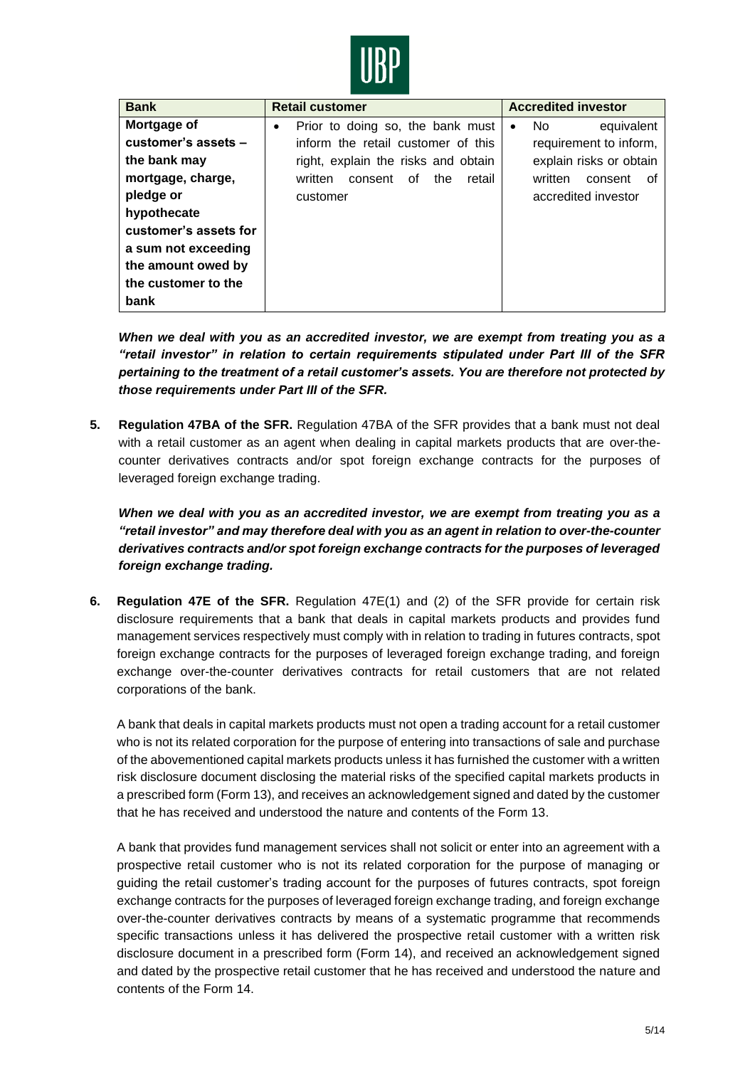

| <b>Bank</b>           | <b>Retail customer</b>                        | <b>Accredited investor</b>     |
|-----------------------|-----------------------------------------------|--------------------------------|
| Mortgage of           | Prior to doing so, the bank must<br>$\bullet$ | equivalent<br>No.<br>$\bullet$ |
| customer's assets -   | inform the retail customer of this            | requirement to inform,         |
| the bank may          | right, explain the risks and obtain           | explain risks or obtain        |
| mortgage, charge,     | consent<br>retail<br>written<br>οf<br>the     | written<br>consent<br>οf       |
| pledge or             | customer                                      | accredited investor            |
| hypothecate           |                                               |                                |
| customer's assets for |                                               |                                |
| a sum not exceeding   |                                               |                                |
| the amount owed by    |                                               |                                |
| the customer to the   |                                               |                                |
| bank                  |                                               |                                |

*When we deal with you as an accredited investor, we are exempt from treating you as a "retail investor" in relation to certain requirements stipulated under Part III of the SFR pertaining to the treatment of a retail customer's assets. You are therefore not protected by those requirements under Part III of the SFR.*

**5. Regulation 47BA of the SFR.** Regulation 47BA of the SFR provides that a bank must not deal with a retail customer as an agent when dealing in capital markets products that are over-thecounter derivatives contracts and/or spot foreign exchange contracts for the purposes of leveraged foreign exchange trading.

*When we deal with you as an accredited investor, we are exempt from treating you as a "retail investor" and may therefore deal with you as an agent in relation to over-the-counter derivatives contracts and/or spot foreign exchange contracts for the purposes of leveraged foreign exchange trading.*

**6. Regulation 47E of the SFR.** Regulation 47E(1) and (2) of the SFR provide for certain risk disclosure requirements that a bank that deals in capital markets products and provides fund management services respectively must comply with in relation to trading in futures contracts, spot foreign exchange contracts for the purposes of leveraged foreign exchange trading, and foreign exchange over-the-counter derivatives contracts for retail customers that are not related corporations of the bank.

A bank that deals in capital markets products must not open a trading account for a retail customer who is not its related corporation for the purpose of entering into transactions of sale and purchase of the abovementioned capital markets products unless it has furnished the customer with a written risk disclosure document disclosing the material risks of the specified capital markets products in a prescribed form (Form 13), and receives an acknowledgement signed and dated by the customer that he has received and understood the nature and contents of the Form 13.

A bank that provides fund management services shall not solicit or enter into an agreement with a prospective retail customer who is not its related corporation for the purpose of managing or guiding the retail customer's trading account for the purposes of futures contracts, spot foreign exchange contracts for the purposes of leveraged foreign exchange trading, and foreign exchange over-the-counter derivatives contracts by means of a systematic programme that recommends specific transactions unless it has delivered the prospective retail customer with a written risk disclosure document in a prescribed form (Form 14), and received an acknowledgement signed and dated by the prospective retail customer that he has received and understood the nature and contents of the Form 14.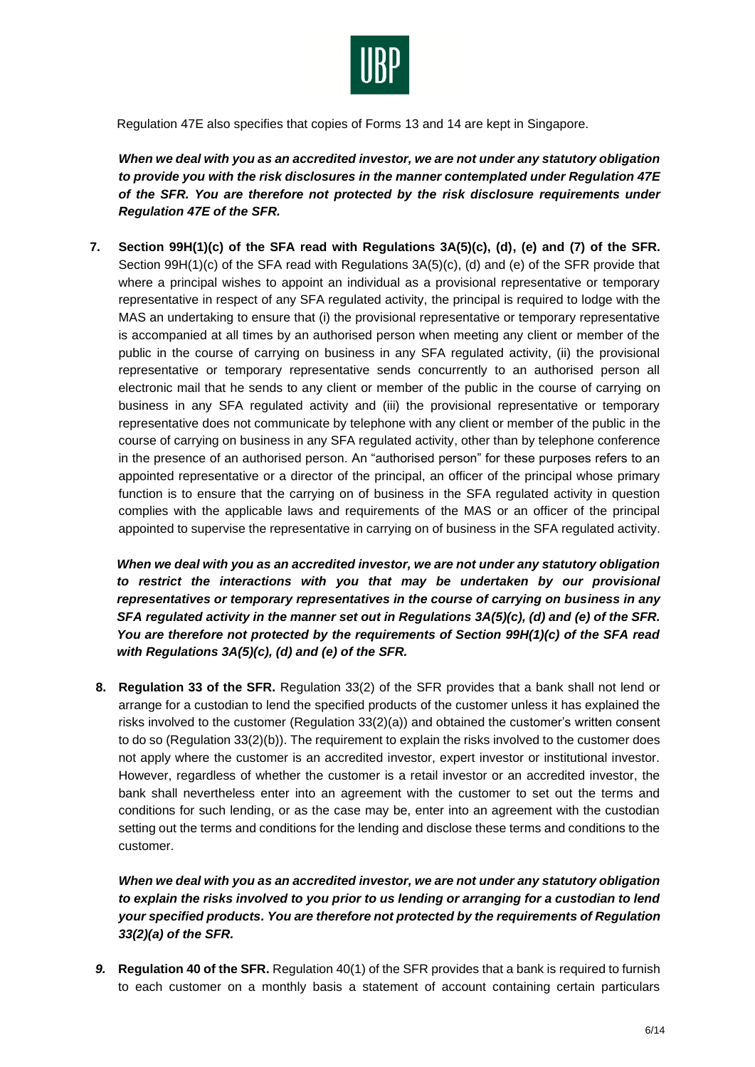

Regulation 47E also specifies that copies of Forms 13 and 14 are kept in Singapore.

*When we deal with you as an accredited investor, we are not under any statutory obligation to provide you with the risk disclosures in the manner contemplated under Regulation 47E of the SFR. You are therefore not protected by the risk disclosure requirements under Regulation 47E of the SFR.*

**7. Section 99H(1)(c) of the SFA read with Regulations 3A(5)(c), (d), (e) and (7) of the SFR.**  Section 99H(1)(c) of the SFA read with Regulations 3A(5)(c), (d) and (e) of the SFR provide that where a principal wishes to appoint an individual as a provisional representative or temporary representative in respect of any SFA regulated activity, the principal is required to lodge with the MAS an undertaking to ensure that (i) the provisional representative or temporary representative is accompanied at all times by an authorised person when meeting any client or member of the public in the course of carrying on business in any SFA regulated activity, (ii) the provisional representative or temporary representative sends concurrently to an authorised person all electronic mail that he sends to any client or member of the public in the course of carrying on business in any SFA regulated activity and (iii) the provisional representative or temporary representative does not communicate by telephone with any client or member of the public in the course of carrying on business in any SFA regulated activity, other than by telephone conference in the presence of an authorised person. An "authorised person" for these purposes refers to an appointed representative or a director of the principal, an officer of the principal whose primary function is to ensure that the carrying on of business in the SFA regulated activity in question complies with the applicable laws and requirements of the MAS or an officer of the principal appointed to supervise the representative in carrying on of business in the SFA regulated activity.

*When we deal with you as an accredited investor, we are not under any statutory obligation to restrict the interactions with you that may be undertaken by our provisional representatives or temporary representatives in the course of carrying on business in any SFA regulated activity in the manner set out in Regulations 3A(5)(c), (d) and (e) of the SFR. You are therefore not protected by the requirements of Section 99H(1)(c) of the SFA read with Regulations 3A(5)(c), (d) and (e) of the SFR.*

**8. Regulation 33 of the SFR.** Regulation 33(2) of the SFR provides that a bank shall not lend or arrange for a custodian to lend the specified products of the customer unless it has explained the risks involved to the customer (Regulation 33(2)(a)) and obtained the customer's written consent to do so (Regulation 33(2)(b)). The requirement to explain the risks involved to the customer does not apply where the customer is an accredited investor, expert investor or institutional investor. However, regardless of whether the customer is a retail investor or an accredited investor, the bank shall nevertheless enter into an agreement with the customer to set out the terms and conditions for such lending, or as the case may be, enter into an agreement with the custodian setting out the terms and conditions for the lending and disclose these terms and conditions to the customer.

*When we deal with you as an accredited investor, we are not under any statutory obligation to explain the risks involved to you prior to us lending or arranging for a custodian to lend your specified products. You are therefore not protected by the requirements of Regulation 33(2)(a) of the SFR.*

*9.* **Regulation 40 of the SFR.** Regulation 40(1) of the SFR provides that a bank is required to furnish to each customer on a monthly basis a statement of account containing certain particulars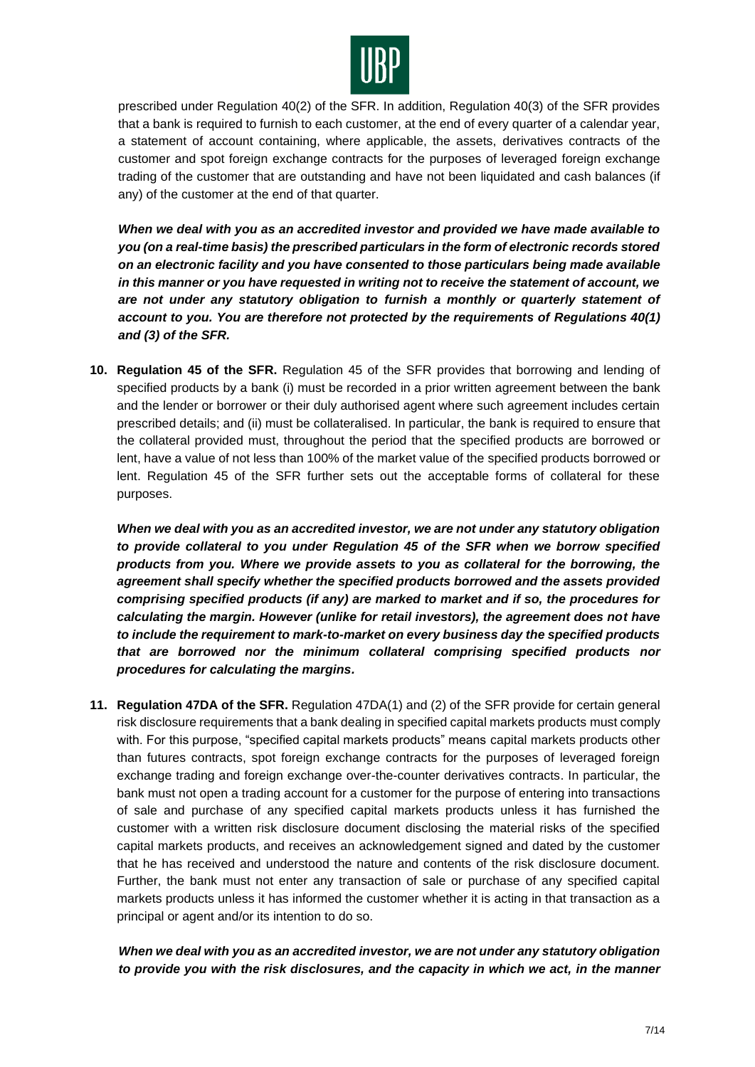

prescribed under Regulation 40(2) of the SFR. In addition, Regulation 40(3) of the SFR provides that a bank is required to furnish to each customer, at the end of every quarter of a calendar year, a statement of account containing, where applicable, the assets, derivatives contracts of the customer and spot foreign exchange contracts for the purposes of leveraged foreign exchange trading of the customer that are outstanding and have not been liquidated and cash balances (if any) of the customer at the end of that quarter.

*When we deal with you as an accredited investor and provided we have made available to you (on a real-time basis) the prescribed particulars in the form of electronic records stored on an electronic facility and you have consented to those particulars being made available in this manner or you have requested in writing not to receive the statement of account, we are not under any statutory obligation to furnish a monthly or quarterly statement of account to you. You are therefore not protected by the requirements of Regulations 40(1) and (3) of the SFR.*

**10. Regulation 45 of the SFR.** Regulation 45 of the SFR provides that borrowing and lending of specified products by a bank (i) must be recorded in a prior written agreement between the bank and the lender or borrower or their duly authorised agent where such agreement includes certain prescribed details; and (ii) must be collateralised. In particular, the bank is required to ensure that the collateral provided must, throughout the period that the specified products are borrowed or lent, have a value of not less than 100% of the market value of the specified products borrowed or lent. Regulation 45 of the SFR further sets out the acceptable forms of collateral for these purposes.

*When we deal with you as an accredited investor, we are not under any statutory obligation to provide collateral to you under Regulation 45 of the SFR when we borrow specified products from you. Where we provide assets to you as collateral for the borrowing, the agreement shall specify whether the specified products borrowed and the assets provided comprising specified products (if any) are marked to market and if so, the procedures for calculating the margin. However (unlike for retail investors), the agreement does not have to include the requirement to mark-to-market on every business day the specified products that are borrowed nor the minimum collateral comprising specified products nor procedures for calculating the margins.*

**11. Regulation 47DA of the SFR.** Regulation 47DA(1) and (2) of the SFR provide for certain general risk disclosure requirements that a bank dealing in specified capital markets products must comply with. For this purpose, "specified capital markets products" means capital markets products other than futures contracts, spot foreign exchange contracts for the purposes of leveraged foreign exchange trading and foreign exchange over-the-counter derivatives contracts. In particular, the bank must not open a trading account for a customer for the purpose of entering into transactions of sale and purchase of any specified capital markets products unless it has furnished the customer with a written risk disclosure document disclosing the material risks of the specified capital markets products, and receives an acknowledgement signed and dated by the customer that he has received and understood the nature and contents of the risk disclosure document. Further, the bank must not enter any transaction of sale or purchase of any specified capital markets products unless it has informed the customer whether it is acting in that transaction as a principal or agent and/or its intention to do so.

# *When we deal with you as an accredited investor, we are not under any statutory obligation to provide you with the risk disclosures, and the capacity in which we act, in the manner*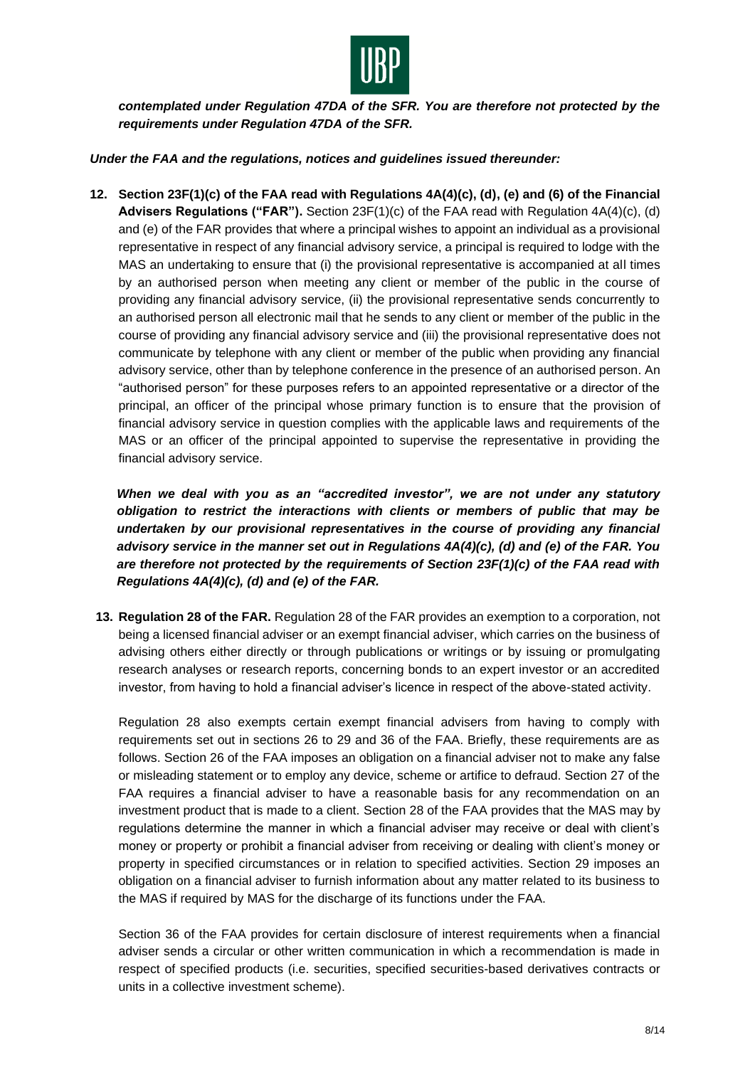

*contemplated under Regulation 47DA of the SFR. You are therefore not protected by the requirements under Regulation 47DA of the SFR.*

## *Under the FAA and the regulations, notices and guidelines issued thereunder:*

**12. Section 23F(1)(c) of the FAA read with Regulations 4A(4)(c), (d), (e) and (6) of the Financial Advisers Regulations ("FAR").** Section 23F(1)(c) of the FAA read with Regulation 4A(4)(c), (d) and (e) of the FAR provides that where a principal wishes to appoint an individual as a provisional representative in respect of any financial advisory service, a principal is required to lodge with the MAS an undertaking to ensure that (i) the provisional representative is accompanied at all times by an authorised person when meeting any client or member of the public in the course of providing any financial advisory service, (ii) the provisional representative sends concurrently to an authorised person all electronic mail that he sends to any client or member of the public in the course of providing any financial advisory service and (iii) the provisional representative does not communicate by telephone with any client or member of the public when providing any financial advisory service, other than by telephone conference in the presence of an authorised person. An "authorised person" for these purposes refers to an appointed representative or a director of the principal, an officer of the principal whose primary function is to ensure that the provision of financial advisory service in question complies with the applicable laws and requirements of the MAS or an officer of the principal appointed to supervise the representative in providing the financial advisory service.

*When we deal with you as an "accredited investor", we are not under any statutory obligation to restrict the interactions with clients or members of public that may be undertaken by our provisional representatives in the course of providing any financial advisory service in the manner set out in Regulations 4A(4)(c), (d) and (e) of the FAR. You are therefore not protected by the requirements of Section 23F(1)(c) of the FAA read with Regulations 4A(4)(c), (d) and (e) of the FAR.*

**13. Regulation 28 of the FAR.** Regulation 28 of the FAR provides an exemption to a corporation, not being a licensed financial adviser or an exempt financial adviser, which carries on the business of advising others either directly or through publications or writings or by issuing or promulgating research analyses or research reports, concerning bonds to an expert investor or an accredited investor, from having to hold a financial adviser's licence in respect of the above-stated activity.

Regulation 28 also exempts certain exempt financial advisers from having to comply with requirements set out in sections 26 to 29 and 36 of the FAA. Briefly, these requirements are as follows. Section 26 of the FAA imposes an obligation on a financial adviser not to make any false or misleading statement or to employ any device, scheme or artifice to defraud. Section 27 of the FAA requires a financial adviser to have a reasonable basis for any recommendation on an investment product that is made to a client. Section 28 of the FAA provides that the MAS may by regulations determine the manner in which a financial adviser may receive or deal with client's money or property or prohibit a financial adviser from receiving or dealing with client's money or property in specified circumstances or in relation to specified activities. Section 29 imposes an obligation on a financial adviser to furnish information about any matter related to its business to the MAS if required by MAS for the discharge of its functions under the FAA.

Section 36 of the FAA provides for certain disclosure of interest requirements when a financial adviser sends a circular or other written communication in which a recommendation is made in respect of specified products (i.e. securities, specified securities-based derivatives contracts or units in a collective investment scheme).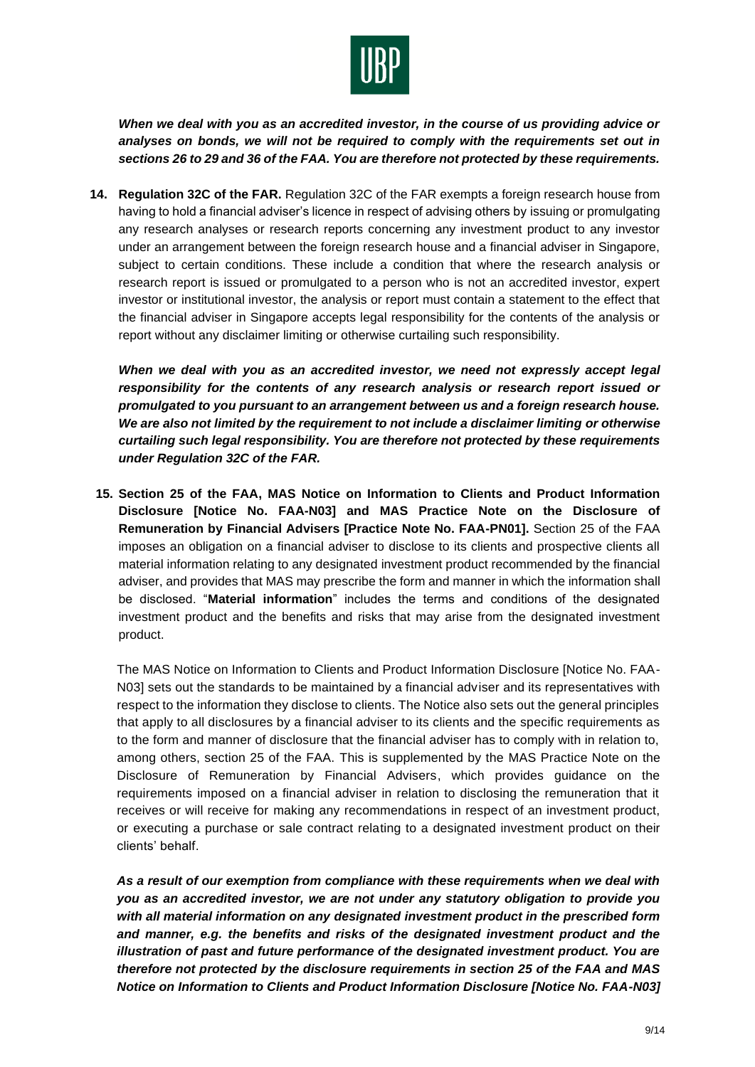

*When we deal with you as an accredited investor, in the course of us providing advice or analyses on bonds, we will not be required to comply with the requirements set out in sections 26 to 29 and 36 of the FAA. You are therefore not protected by these requirements.*

**14. Regulation 32C of the FAR.** Regulation 32C of the FAR exempts a foreign research house from having to hold a financial adviser's licence in respect of advising others by issuing or promulgating any research analyses or research reports concerning any investment product to any investor under an arrangement between the foreign research house and a financial adviser in Singapore, subject to certain conditions. These include a condition that where the research analysis or research report is issued or promulgated to a person who is not an accredited investor, expert investor or institutional investor, the analysis or report must contain a statement to the effect that the financial adviser in Singapore accepts legal responsibility for the contents of the analysis or report without any disclaimer limiting or otherwise curtailing such responsibility.

*When we deal with you as an accredited investor, we need not expressly accept legal responsibility for the contents of any research analysis or research report issued or promulgated to you pursuant to an arrangement between us and a foreign research house. We are also not limited by the requirement to not include a disclaimer limiting or otherwise curtailing such legal responsibility. You are therefore not protected by these requirements under Regulation 32C of the FAR.*

**15. Section 25 of the FAA, MAS Notice on Information to Clients and Product Information Disclosure [Notice No. FAA-N03] and MAS Practice Note on the Disclosure of Remuneration by Financial Advisers [Practice Note No. FAA-PN01].** Section 25 of the FAA imposes an obligation on a financial adviser to disclose to its clients and prospective clients all material information relating to any designated investment product recommended by the financial adviser, and provides that MAS may prescribe the form and manner in which the information shall be disclosed. "**Material information**" includes the terms and conditions of the designated investment product and the benefits and risks that may arise from the designated investment product.

The MAS Notice on Information to Clients and Product Information Disclosure [Notice No. FAA-N03] sets out the standards to be maintained by a financial adviser and its representatives with respect to the information they disclose to clients. The Notice also sets out the general principles that apply to all disclosures by a financial adviser to its clients and the specific requirements as to the form and manner of disclosure that the financial adviser has to comply with in relation to, among others, section 25 of the FAA. This is supplemented by the MAS Practice Note on the Disclosure of Remuneration by Financial Advisers, which provides guidance on the requirements imposed on a financial adviser in relation to disclosing the remuneration that it receives or will receive for making any recommendations in respect of an investment product, or executing a purchase or sale contract relating to a designated investment product on their clients' behalf.

*As a result of our exemption from compliance with these requirements when we deal with you as an accredited investor, we are not under any statutory obligation to provide you with all material information on any designated investment product in the prescribed form and manner, e.g. the benefits and risks of the designated investment product and the illustration of past and future performance of the designated investment product. You are therefore not protected by the disclosure requirements in section 25 of the FAA and MAS Notice on Information to Clients and Product Information Disclosure [Notice No. FAA-N03]*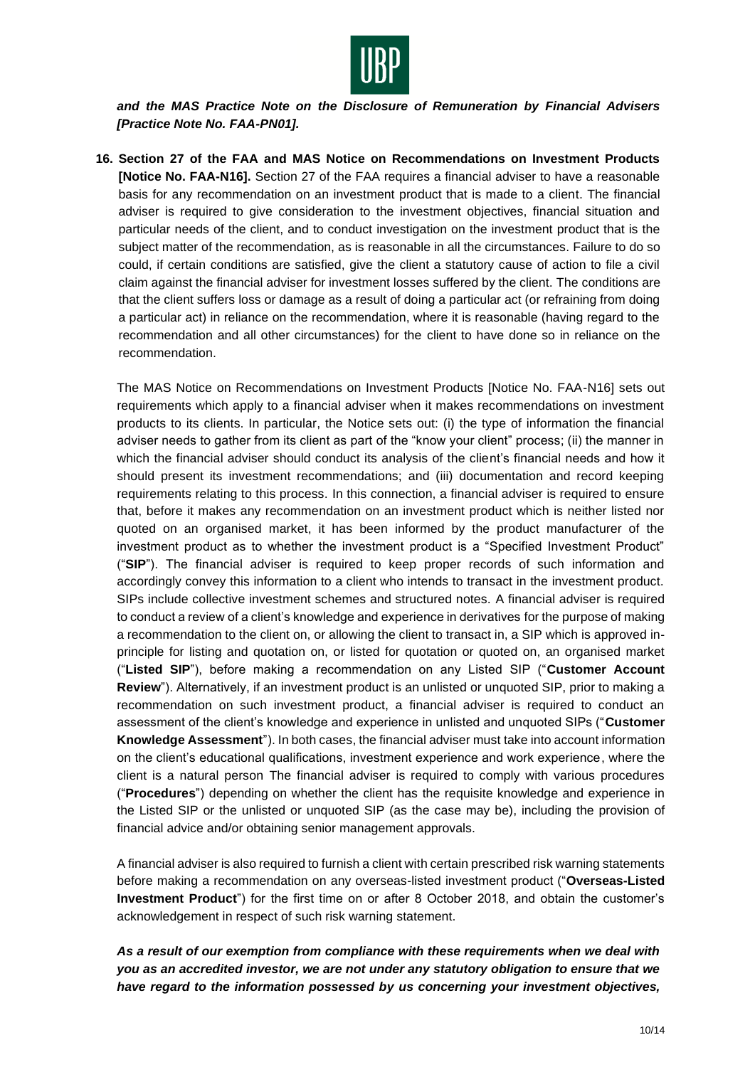

*and the MAS Practice Note on the Disclosure of Remuneration by Financial Advisers [Practice Note No. FAA-PN01].*

**16. Section 27 of the FAA and MAS Notice on Recommendations on Investment Products [Notice No. FAA-N16].** Section 27 of the FAA requires a financial adviser to have a reasonable basis for any recommendation on an investment product that is made to a client. The financial adviser is required to give consideration to the investment objectives, financial situation and particular needs of the client, and to conduct investigation on the investment product that is the subject matter of the recommendation, as is reasonable in all the circumstances. Failure to do so could, if certain conditions are satisfied, give the client a statutory cause of action to file a civil claim against the financial adviser for investment losses suffered by the client. The conditions are that the client suffers loss or damage as a result of doing a particular act (or refraining from doing a particular act) in reliance on the recommendation, where it is reasonable (having regard to the recommendation and all other circumstances) for the client to have done so in reliance on the recommendation.

The MAS Notice on Recommendations on Investment Products [Notice No. FAA-N16] sets out requirements which apply to a financial adviser when it makes recommendations on investment products to its clients. In particular, the Notice sets out: (i) the type of information the financial adviser needs to gather from its client as part of the "know your client" process; (ii) the manner in which the financial adviser should conduct its analysis of the client's financial needs and how it should present its investment recommendations; and (iii) documentation and record keeping requirements relating to this process. In this connection, a financial adviser is required to ensure that, before it makes any recommendation on an investment product which is neither listed nor quoted on an organised market, it has been informed by the product manufacturer of the investment product as to whether the investment product is a "Specified Investment Product" ("**SIP**"). The financial adviser is required to keep proper records of such information and accordingly convey this information to a client who intends to transact in the investment product. SIPs include collective investment schemes and structured notes. A financial adviser is required to conduct a review of a client's knowledge and experience in derivatives for the purpose of making a recommendation to the client on, or allowing the client to transact in, a SIP which is approved inprinciple for listing and quotation on, or listed for quotation or quoted on, an organised market ("**Listed SIP**"), before making a recommendation on any Listed SIP ("**Customer Account Review**"). Alternatively, if an investment product is an unlisted or unquoted SIP, prior to making a recommendation on such investment product, a financial adviser is required to conduct an assessment of the client's knowledge and experience in unlisted and unquoted SIPs ("**Customer Knowledge Assessment**"). In both cases, the financial adviser must take into account information on the client's educational qualifications, investment experience and work experience, where the client is a natural person The financial adviser is required to comply with various procedures ("**Procedures**") depending on whether the client has the requisite knowledge and experience in the Listed SIP or the unlisted or unquoted SIP (as the case may be), including the provision of financial advice and/or obtaining senior management approvals.

A financial adviser is also required to furnish a client with certain prescribed risk warning statements before making a recommendation on any overseas-listed investment product ("**Overseas-Listed Investment Product**") for the first time on or after 8 October 2018, and obtain the customer's acknowledgement in respect of such risk warning statement.

*As a result of our exemption from compliance with these requirements when we deal with you as an accredited investor, we are not under any statutory obligation to ensure that we have regard to the information possessed by us concerning your investment objectives,*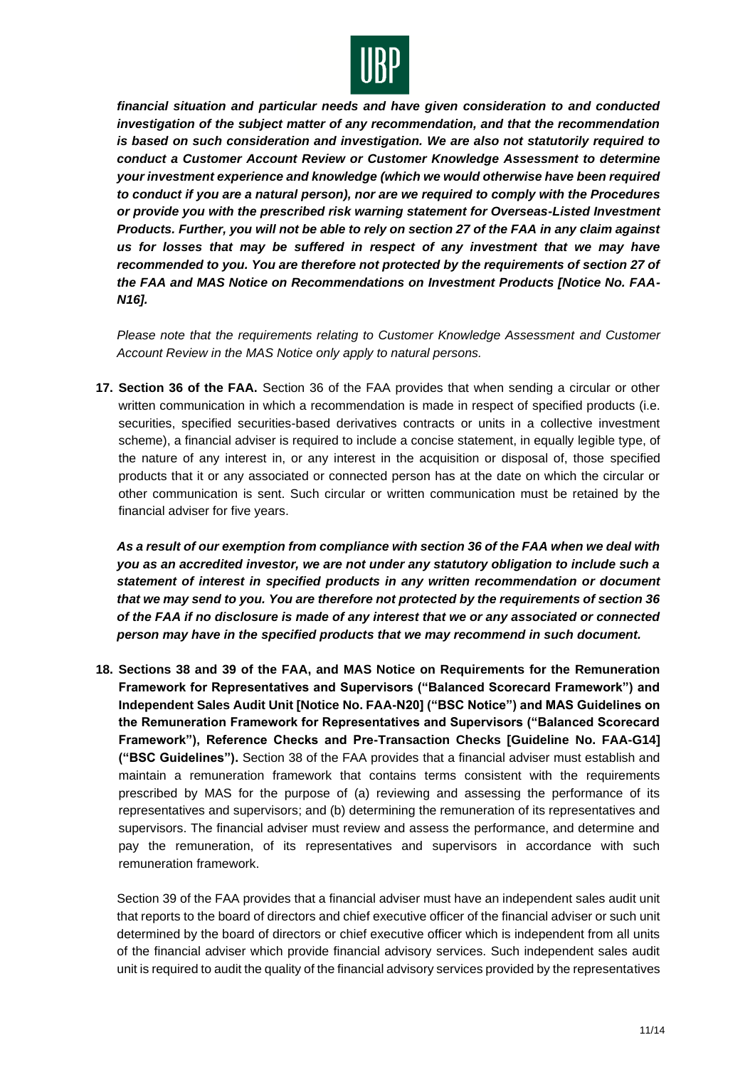

*financial situation and particular needs and have given consideration to and conducted investigation of the subject matter of any recommendation, and that the recommendation is based on such consideration and investigation. We are also not statutorily required to conduct a Customer Account Review or Customer Knowledge Assessment to determine your investment experience and knowledge (which we would otherwise have been required to conduct if you are a natural person), nor are we required to comply with the Procedures or provide you with the prescribed risk warning statement for Overseas-Listed Investment Products. Further, you will not be able to rely on section 27 of the FAA in any claim against us for losses that may be suffered in respect of any investment that we may have recommended to you. You are therefore not protected by the requirements of section 27 of the FAA and MAS Notice on Recommendations on Investment Products [Notice No. FAA-N16].*

*Please note that the requirements relating to Customer Knowledge Assessment and Customer Account Review in the MAS Notice only apply to natural persons.*

**17. Section 36 of the FAA.** Section 36 of the FAA provides that when sending a circular or other written communication in which a recommendation is made in respect of specified products (i.e. securities, specified securities-based derivatives contracts or units in a collective investment scheme), a financial adviser is required to include a concise statement, in equally legible type, of the nature of any interest in, or any interest in the acquisition or disposal of, those specified products that it or any associated or connected person has at the date on which the circular or other communication is sent. Such circular or written communication must be retained by the financial adviser for five years.

*As a result of our exemption from compliance with section 36 of the FAA when we deal with you as an accredited investor, we are not under any statutory obligation to include such a statement of interest in specified products in any written recommendation or document that we may send to you. You are therefore not protected by the requirements of section 36 of the FAA if no disclosure is made of any interest that we or any associated or connected person may have in the specified products that we may recommend in such document.*

**18. Sections 38 and 39 of the FAA, and MAS Notice on Requirements for the Remuneration Framework for Representatives and Supervisors ("Balanced Scorecard Framework") and Independent Sales Audit Unit [Notice No. FAA-N20] ("BSC Notice") and MAS Guidelines on the Remuneration Framework for Representatives and Supervisors ("Balanced Scorecard Framework"), Reference Checks and Pre-Transaction Checks [Guideline No. FAA-G14] ("BSC Guidelines").** Section 38 of the FAA provides that a financial adviser must establish and maintain a remuneration framework that contains terms consistent with the requirements prescribed by MAS for the purpose of (a) reviewing and assessing the performance of its representatives and supervisors; and (b) determining the remuneration of its representatives and supervisors. The financial adviser must review and assess the performance, and determine and pay the remuneration, of its representatives and supervisors in accordance with such remuneration framework.

Section 39 of the FAA provides that a financial adviser must have an independent sales audit unit that reports to the board of directors and chief executive officer of the financial adviser or such unit determined by the board of directors or chief executive officer which is independent from all units of the financial adviser which provide financial advisory services. Such independent sales audit unit is required to audit the quality of the financial advisory services provided by the representatives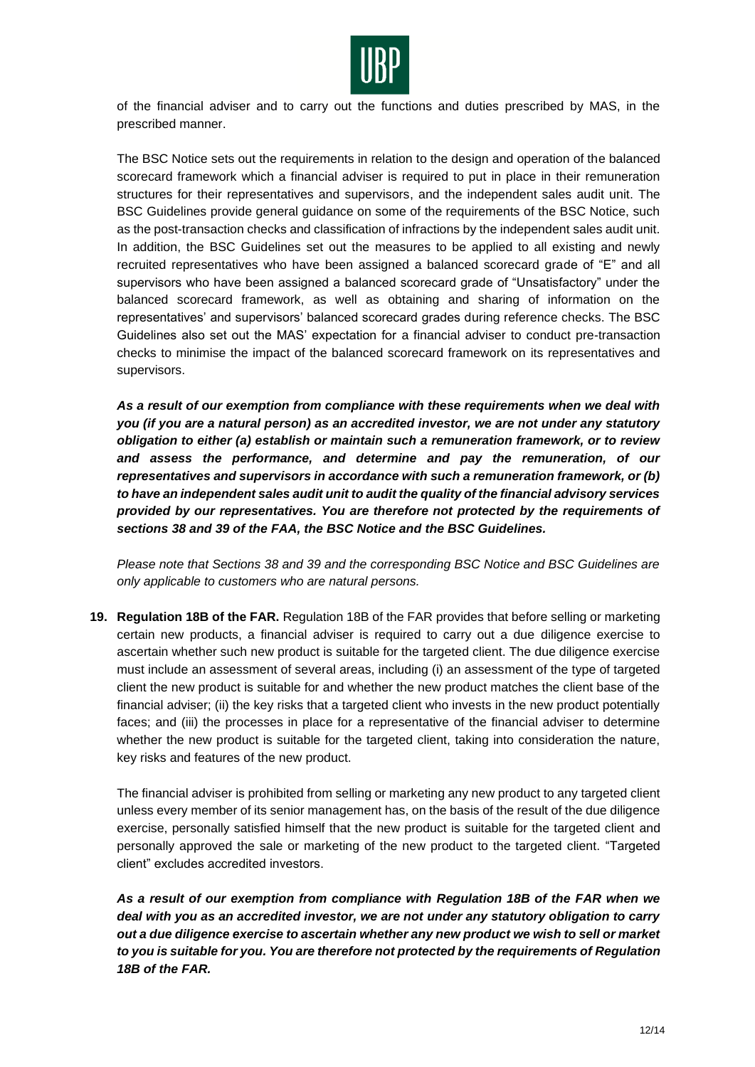

of the financial adviser and to carry out the functions and duties prescribed by MAS, in the prescribed manner.

The BSC Notice sets out the requirements in relation to the design and operation of the balanced scorecard framework which a financial adviser is required to put in place in their remuneration structures for their representatives and supervisors, and the independent sales audit unit. The BSC Guidelines provide general guidance on some of the requirements of the BSC Notice, such as the post-transaction checks and classification of infractions by the independent sales audit unit. In addition, the BSC Guidelines set out the measures to be applied to all existing and newly recruited representatives who have been assigned a balanced scorecard grade of "E" and all supervisors who have been assigned a balanced scorecard grade of "Unsatisfactory" under the balanced scorecard framework, as well as obtaining and sharing of information on the representatives' and supervisors' balanced scorecard grades during reference checks. The BSC Guidelines also set out the MAS' expectation for a financial adviser to conduct pre-transaction checks to minimise the impact of the balanced scorecard framework on its representatives and supervisors.

*As a result of our exemption from compliance with these requirements when we deal with you (if you are a natural person) as an accredited investor, we are not under any statutory obligation to either (a) establish or maintain such a remuneration framework, or to review and assess the performance, and determine and pay the remuneration, of our representatives and supervisors in accordance with such a remuneration framework, or (b) to have an independent sales audit unit to audit the quality of the financial advisory services provided by our representatives. You are therefore not protected by the requirements of sections 38 and 39 of the FAA, the BSC Notice and the BSC Guidelines.*

*Please note that Sections 38 and 39 and the corresponding BSC Notice and BSC Guidelines are only applicable to customers who are natural persons.*

**19. Regulation 18B of the FAR.** Regulation 18B of the FAR provides that before selling or marketing certain new products, a financial adviser is required to carry out a due diligence exercise to ascertain whether such new product is suitable for the targeted client. The due diligence exercise must include an assessment of several areas, including (i) an assessment of the type of targeted client the new product is suitable for and whether the new product matches the client base of the financial adviser; (ii) the key risks that a targeted client who invests in the new product potentially faces; and (iii) the processes in place for a representative of the financial adviser to determine whether the new product is suitable for the targeted client, taking into consideration the nature, key risks and features of the new product.

The financial adviser is prohibited from selling or marketing any new product to any targeted client unless every member of its senior management has, on the basis of the result of the due diligence exercise, personally satisfied himself that the new product is suitable for the targeted client and personally approved the sale or marketing of the new product to the targeted client. "Targeted client" excludes accredited investors.

*As a result of our exemption from compliance with Regulation 18B of the FAR when we deal with you as an accredited investor, we are not under any statutory obligation to carry out a due diligence exercise to ascertain whether any new product we wish to sell or market to you is suitable for you. You are therefore not protected by the requirements of Regulation 18B of the FAR.*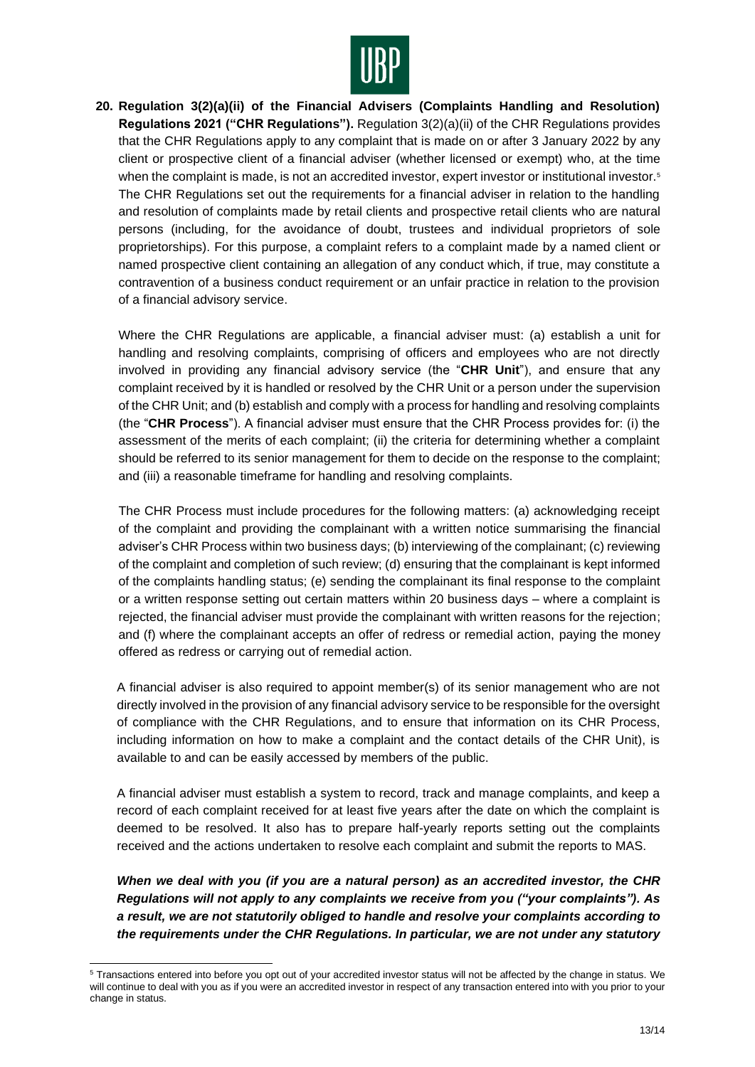

**20. Regulation 3(2)(a)(ii) of the Financial Advisers (Complaints Handling and Resolution) Regulations 2021 ("CHR Regulations").** Regulation 3(2)(a)(ii) of the CHR Regulations provides that the CHR Regulations apply to any complaint that is made on or after 3 January 2022 by any client or prospective client of a financial adviser (whether licensed or exempt) who, at the time when the complaint is made, is not an accredited investor, expert investor or institutional investor.<sup>5</sup> The CHR Regulations set out the requirements for a financial adviser in relation to the handling and resolution of complaints made by retail clients and prospective retail clients who are natural persons (including, for the avoidance of doubt, trustees and individual proprietors of sole proprietorships). For this purpose, a complaint refers to a complaint made by a named client or named prospective client containing an allegation of any conduct which, if true, may constitute a contravention of a business conduct requirement or an unfair practice in relation to the provision of a financial advisory service.

Where the CHR Regulations are applicable, a financial adviser must: (a) establish a unit for handling and resolving complaints, comprising of officers and employees who are not directly involved in providing any financial advisory service (the "**CHR Unit**"), and ensure that any complaint received by it is handled or resolved by the CHR Unit or a person under the supervision of the CHR Unit; and (b) establish and comply with a process for handling and resolving complaints (the "**CHR Process**"). A financial adviser must ensure that the CHR Process provides for: (i) the assessment of the merits of each complaint; (ii) the criteria for determining whether a complaint should be referred to its senior management for them to decide on the response to the complaint; and (iii) a reasonable timeframe for handling and resolving complaints.

The CHR Process must include procedures for the following matters: (a) acknowledging receipt of the complaint and providing the complainant with a written notice summarising the financial adviser's CHR Process within two business days; (b) interviewing of the complainant; (c) reviewing of the complaint and completion of such review; (d) ensuring that the complainant is kept informed of the complaints handling status; (e) sending the complainant its final response to the complaint or a written response setting out certain matters within 20 business days – where a complaint is rejected, the financial adviser must provide the complainant with written reasons for the rejection; and (f) where the complainant accepts an offer of redress or remedial action, paying the money offered as redress or carrying out of remedial action.

A financial adviser is also required to appoint member(s) of its senior management who are not directly involved in the provision of any financial advisory service to be responsible for the oversight of compliance with the CHR Regulations, and to ensure that information on its CHR Process, including information on how to make a complaint and the contact details of the CHR Unit), is available to and can be easily accessed by members of the public.

A financial adviser must establish a system to record, track and manage complaints, and keep a record of each complaint received for at least five years after the date on which the complaint is deemed to be resolved. It also has to prepare half-yearly reports setting out the complaints received and the actions undertaken to resolve each complaint and submit the reports to MAS.

*When we deal with you (if you are a natural person) as an accredited investor, the CHR Regulations will not apply to any complaints we receive from you ("your complaints"). As a result, we are not statutorily obliged to handle and resolve your complaints according to the requirements under the CHR Regulations. In particular, we are not under any statutory* 

<sup>5</sup> Transactions entered into before you opt out of your accredited investor status will not be affected by the change in status. We will continue to deal with you as if you were an accredited investor in respect of any transaction entered into with you prior to your change in status.